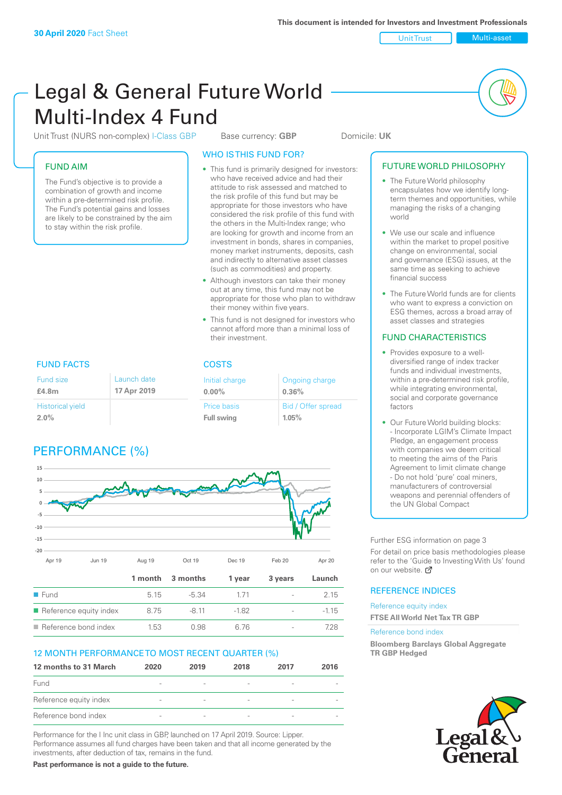Unit Trust Multi-asset

# Legal & General Future World Multi-Index 4 Fund

Unit Trust (NURS non-complex) I-Class GBP Base currency: **GBP** Domicile: UK

# FUND AIM

The Fund's objective is to provide a combination of growth and income within a pre-determined risk profile. The Fund's potential gains and losses are likely to be constrained by the aim to stay within the risk profile.

# WHO IS THIS FUND FOR?

- This fund is primarily designed for investors: who have received advice and had their attitude to risk assessed and matched to the risk profile of this fund but may be appropriate for those investors who have considered the risk profile of this fund with the others in the Multi-Index range; who are looking for growth and income from an investment in bonds, shares in companies, money market instruments, deposits, cash and indirectly to alternative asset classes (such as commodities) and property.
- Although investors can take their money out at any time, this fund may not be appropriate for those who plan to withdraw their money within five years.
- This fund is not designed for investors who cannot afford more than a minimal loss of their investment.

Ongoing charge

Bid / Offer spread

**0.36%**

**1.05%**

FUND FACTS COSTS Fund size **£4.8m** Initial charge **0.00%** Price basis **Full swing** Historical yield **2.0%** Launch date **17 Apr 2019**

# PERFORMANCE (%)



# 12 MONTH PERFORMANCE TO MOST RECENT QUARTER (%)

| 12 months to 31 March  | 2020                     | 2019                     | 2018                     | 2017                     | 2016 |
|------------------------|--------------------------|--------------------------|--------------------------|--------------------------|------|
| Fund                   |                          |                          | $\overline{\phantom{a}}$ |                          |      |
| Reference equity index | $\overline{\phantom{a}}$ | $\overline{\phantom{a}}$ | $\overline{\phantom{a}}$ | $\overline{\phantom{0}}$ |      |
| Reference bond index   | $\sim$                   | $\overline{\phantom{a}}$ | $\overline{\phantom{a}}$ |                          |      |

■ Reference bond index  $1.53$  0.98 6.76 - 728

Performance for the I Inc unit class in GBP, launched on 17 April 2019. Source: Lipper. Performance assumes all fund charges have been taken and that all income generated by the investments, after deduction of tax, remains in the fund.

**Past performance is not a guide to the future.**

# FUTURE WORLD PHILOSOPHY

- The Future World philosophy encapsulates how we identify longterm themes and opportunities, while managing the risks of a changing world
- We use our scale and influence within the market to propel positive change on environmental, social and governance (ESG) issues, at the same time as seeking to achieve financial success
- The Future World funds are for clients who want to express a conviction on ESG themes, across a broad array of asset classes and strategies

# FUND CHARACTERISTICS

- Provides exposure to a welldiversified range of index tracker funds and individual investments, within a pre-determined risk profile while integrating environmental, social and corporate governance factors
- Our Future World building blocks: - Incorporate LGIM's Climate Impact Pledge, an engagement process with companies we deem critical to meeting the aims of the Paris Agreement to limit climate change - Do not hold 'pure' coal miners, manufacturers of controversial weapons and perennial offenders of the UN Global Compact

Further ESG information on page 3

For detail on price basis methodologies please refer to the 'Guide to Investing With Us' found on our website.  $\mathbb{Z}$ 

# REFERENCE INDICES

Reference equity index **FTSE All World Net Tax TR GBP**

#### Reference bond index

**Bloomberg Barclays Global Aggregate TR GBP Hedged**

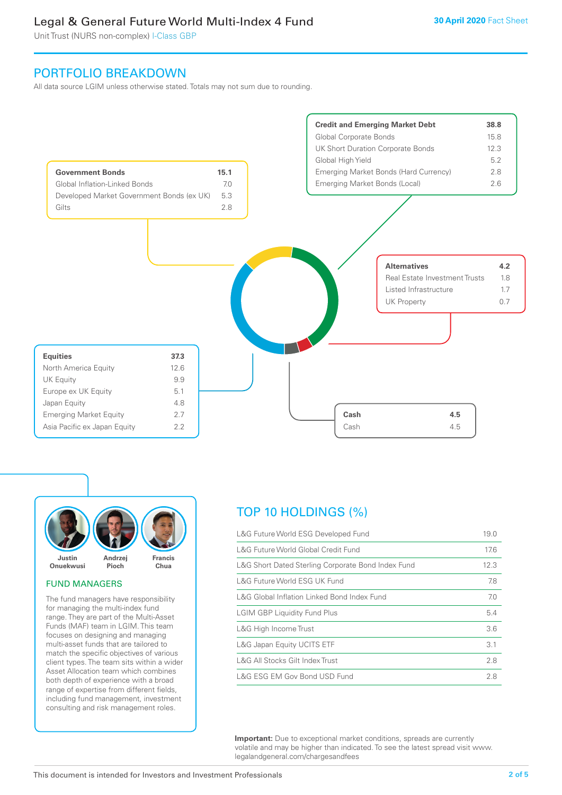# Legal & General Future World Multi-Index 4 Fund

Unit Trust (NURS non-complex) I-Class GBP

# PORTFOLIO BREAKDOWN

All data source LGIM unless otherwise stated. Totals may not sum due to rounding.





#### FUND MANAGERS

The fund managers have responsibility for managing the multi-index fund range. They are part of the Multi-Asset Funds (MAF) team in LGIM. This team focuses on designing and managing multi-asset funds that are tailored to match the specific objectives of various client types. The team sits within a wider Asset Allocation team which combines both depth of experience with a broad range of expertise from different fields, including fund management, investment consulting and risk management roles.

# TOP 10 HOLDINGS (%)

| L&G Future World ESG Developed Fund                | 19.0 |
|----------------------------------------------------|------|
| L&G Future World Global Credit Fund                | 17.6 |
| L&G Short Dated Sterling Corporate Bond Index Fund | 12.3 |
| L&G Future World ESG UK Fund                       | 7.8  |
| L&G Global Inflation Linked Bond Index Fund        | 7.0  |
| <b>LGIM GBP Liquidity Fund Plus</b>                | 5.4  |
| L&G High Income Trust                              | 3.6  |
| L&G Japan Equity UCITS ETF                         | 3.1  |
| L&G All Stocks Gilt Index Trust                    | 2.8  |
| L&G ESG EM Gov Bond USD Fund                       | 2.8  |

**Important:** Due to exceptional market conditions, spreads are currently volatile and may be higher than indicated. To see the latest spread visit www. legalandgeneral.com/chargesandfees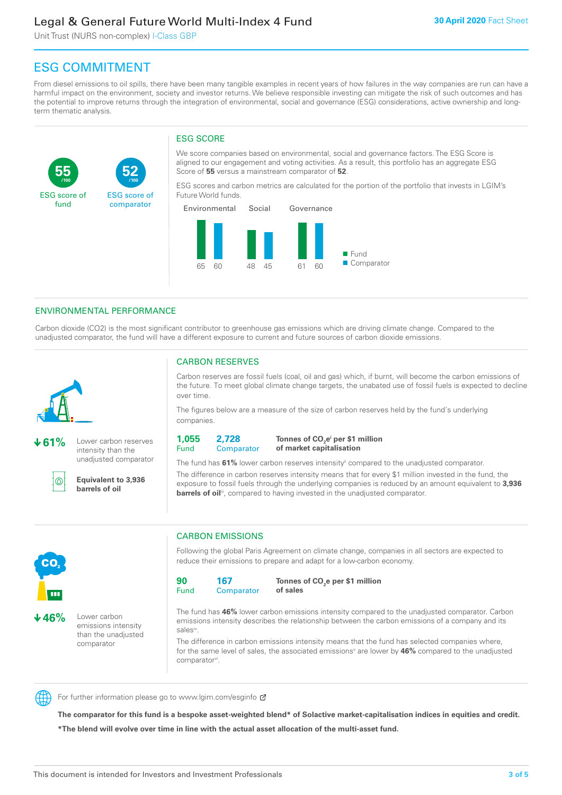# Legal & General Future World Multi-Index 4 Fund

Unit Trust (NURS non-complex) I-Class GBP

**52**

ESG score of comparator

# ESG COMMITMENT

**/100 /100**

From diesel emissions to oil spills, there have been many tangible examples in recent years of how failures in the way companies are run can have a harmful impact on the environment, society and investor returns. We believe responsible investing can mitigate the risk of such outcomes and has the potential to improve returns through the integration of environmental, social and governance (ESG) considerations, active ownership and longterm thematic analysis.

# ESG SCORE

We score companies based on environmental, social and governance factors. The ESG Score is aligned to our engagement and voting activities. As a result, this portfolio has an aggregate ESG Score of **55** versus a mainstream comparator of **52**.

ESG scores and carbon metrics are calculated for the portion of the portfolio that invests in LGIM's Future World funds.



# ENVIRONMENTAL PERFORMANCE

**61%** Lower carbon reserves intensity than the unadjusted comparator

> **Equivalent to 3,936 barrels of oil**

Carbon dioxide (CO2) is the most significant contributor to greenhouse gas emissions which are driving climate change. Compared to the unadjusted comparator, the fund will have a different exposure to current and future sources of carbon dioxide emissions.



൹

**55**

ESG score of fund

over time.

The figures below are a measure of the size of carbon reserves held by the fund's underlying companies.

Carbon reserves are fossil fuels (coal, oil and gas) which, if burnt, will become the carbon emissions of the future. To meet global climate change targets, the unabated use of fossil fuels is expected to decline

**1,055** Fund **2,728 Comparator** 

**Tonnes of CO2 ei per \$1 million of market capitalisation**

The fund has **61%** lower carbon reserves intensityii compared to the unadjusted comparator. The difference in carbon reserves intensity means that for every \$1 million invested in the fund, the exposure to fossil fuels through the underlying companies is reduced by an amount equivalent to **3,936 barrels of oil**<sup>iii</sup>, compared to having invested in the unadjusted comparator.



**46%** Lower carbon emissions intensity than the unadjusted comparator

# CARBON EMISSIONS

CARBON RESERVES

Following the global Paris Agreement on climate change, companies in all sectors are expected to reduce their emissions to prepare and adapt for a low-carbon economy.

**90** Fund **167 Comparator** 

**Tonnes of CO2 e per \$1 million of sales**

The fund has **46%** lower carbon emissions intensity compared to the unadjusted comparator. Carbon emissions intensity describes the relationship between the carbon emissions of a company and its salesiv

The difference in carbon emissions intensity means that the fund has selected companies where, for the same level of sales, the associated emissions<sup>v</sup> are lower by 46% compared to the unadjusted comparator<sup>vi</sup>.



For further information please go to www.lgim.com/esginfo Ø

**The comparator for this fund is a bespoke asset-weighted blend\* of Solactive market-capitalisation indices in equities and credit. \*The blend will evolve over time in line with the actual asset allocation of the multi-asset fund.**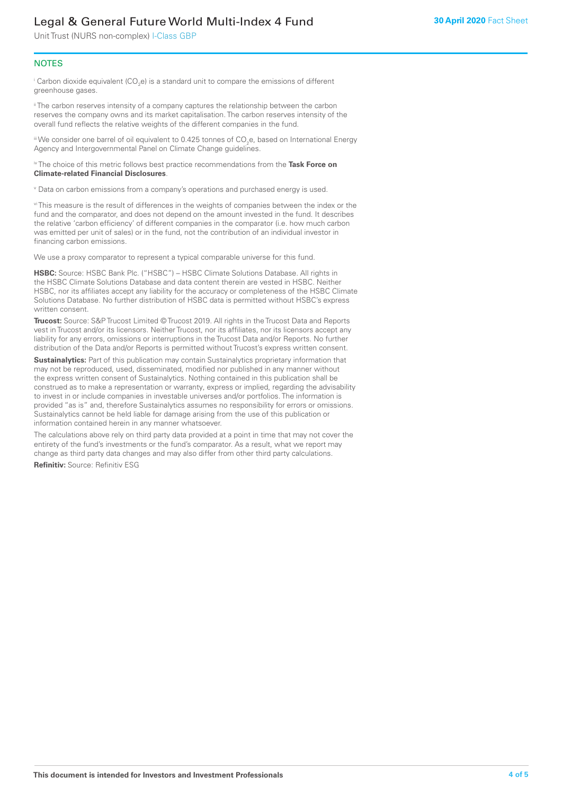# Legal & General Future World Multi-Index 4 Fund

Unit Trust (NURS non-complex) I-Class GBP

# **NOTES**

 $^\mathrm{i}$  Carbon dioxide equivalent (CO<sub>2</sub>e) is a standard unit to compare the emissions of different greenhouse gases.

<sup>ii</sup> The carbon reserves intensity of a company captures the relationship between the carbon reserves the company owns and its market capitalisation. The carbon reserves intensity of the overall fund reflects the relative weights of the different companies in the fund.

iii We consider one barrel of oil equivalent to 0.425 tonnes of CO<sub>2</sub>e, based on International Energy Agency and Intergovernmental Panel on Climate Change guidelines.

#### iv The choice of this metric follows best practice recommendations from the **Task Force on Climate-related Financial Disclosures**.

v Data on carbon emissions from a company's operations and purchased energy is used.

vi This measure is the result of differences in the weights of companies between the index or the fund and the comparator, and does not depend on the amount invested in the fund. It describes the relative 'carbon efficiency' of different companies in the comparator (i.e. how much carbon was emitted per unit of sales) or in the fund, not the contribution of an individual investor in financing carbon emissions.

We use a proxy comparator to represent a typical comparable universe for this fund.

**HSBC:** Source: HSBC Bank Plc. ("HSBC") – HSBC Climate Solutions Database. All rights in the HSBC Climate Solutions Database and data content therein are vested in HSBC. Neither HSBC, nor its affiliates accept any liability for the accuracy or completeness of the HSBC Climate Solutions Database. No further distribution of HSBC data is permitted without HSBC's express written consent.

**Trucost:** Source: S&P Trucost Limited © Trucost 2019. All rights in the Trucost Data and Reports vest in Trucost and/or its licensors. Neither Trucost, nor its affiliates, nor its licensors accept any liability for any errors, omissions or interruptions in the Trucost Data and/or Reports. No further distribution of the Data and/or Reports is permitted without Trucost's express written consent.

**Sustainalytics:** Part of this publication may contain Sustainalytics proprietary information that may not be reproduced, used, disseminated, modified nor published in any manner without the express written consent of Sustainalytics. Nothing contained in this publication shall be construed as to make a representation or warranty, express or implied, regarding the advisability to invest in or include companies in investable universes and/or portfolios. The information is provided "as is" and, therefore Sustainalytics assumes no responsibility for errors or omissions. Sustainalytics cannot be held liable for damage arising from the use of this publication or information contained herein in any manner whatsoever.

The calculations above rely on third party data provided at a point in time that may not cover the entirety of the fund's investments or the fund's comparator. As a result, what we report may change as third party data changes and may also differ from other third party calculations.

**Refinitiv:** Source: Refinitiv ESG